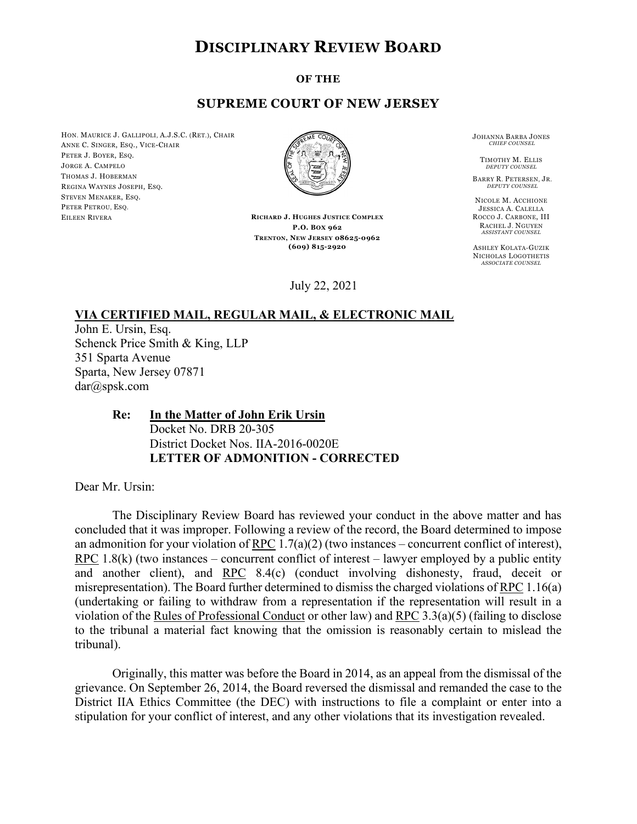# **DISCIPLINARY REVIEW BOARD**

#### **OF THE**

### **SUPREME COURT OF NEW JERSEY**

HON. MAURICE J. GALLIPOLI, A.J.S.C. (RET.), CHAIR ANNE C. SINGER, ESQ., VICE-CHAIR PETER J. BOYER, ESQ. JORGE A. CAMPELO THOMAS J. HOBERMAN REGINA WAYNES JOSEPH, ESQ. STEVEN MENAKER, ESQ. PETER PETROU, ESO. EILEEN RIVERA



**RICHARD J. HUGHES JUSTICE COMPLEX P.O. BOX 962 TRENTON, NEW JERSEY 08625-0962 (609) 815-2920**

July 22, 2021

JOHANNA BARBA JONES *CHIEF COUNSEL*

TIMOTHY M. ELLIS *DEPUTY COUNSEL*

BARRY R. PETERSEN, JR. *DEPUTY COUNSEL*

NICOLE M. ACCHIONE JESSICA A. CALELLA ROCCO J. CARBONE, III RACHEL J. NGUYEN *ASSISTANT COUNSEL*

ASHLEY KOLATA-GUZIK NICHOLAS LOGOTHETIS *ASSOCIATE COUNSEL*

### **VIA CERTIFIED MAIL, REGULAR MAIL, & ELECTRONIC MAIL**

John E. Ursin, Esq. Schenck Price Smith & King, LLP 351 Sparta Avenue Sparta, New Jersey 07871 dar@spsk.com

## **Re: In the Matter of John Erik Ursin** Docket No. DRB 20-305 District Docket Nos. IIA-2016-0020E **LETTER OF ADMONITION - CORRECTED**

Dear Mr. Ursin:

The Disciplinary Review Board has reviewed your conduct in the above matter and has concluded that it was improper. Following a review of the record, the Board determined to impose an admonition for your violation of RPC  $1.7(a)(2)$  (two instances – concurrent conflict of interest), RPC 1.8(k) (two instances – concurrent conflict of interest – lawyer employed by a public entity and another client), and RPC 8.4(c) (conduct involving dishonesty, fraud, deceit or misrepresentation). The Board further determined to dismiss the charged violations of RPC 1.16(a) (undertaking or failing to withdraw from a representation if the representation will result in a violation of the Rules of Professional Conduct or other law) and RPC 3.3(a)(5) (failing to disclose to the tribunal a material fact knowing that the omission is reasonably certain to mislead the tribunal).

Originally, this matter was before the Board in 2014, as an appeal from the dismissal of the grievance. On September 26, 2014, the Board reversed the dismissal and remanded the case to the District IIA Ethics Committee (the DEC) with instructions to file a complaint or enter into a stipulation for your conflict of interest, and any other violations that its investigation revealed.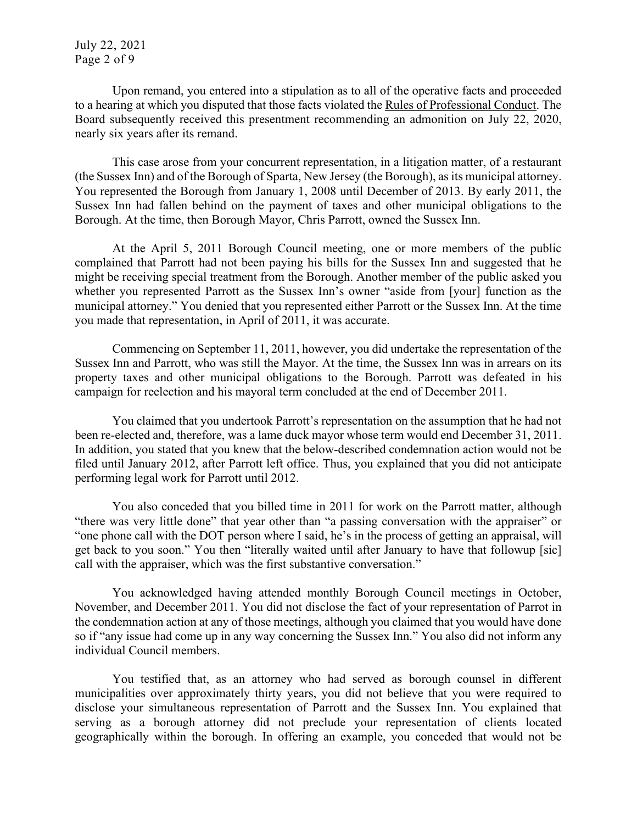Upon remand, you entered into a stipulation as to all of the operative facts and proceeded to a hearing at which you disputed that those facts violated the Rules of Professional Conduct. The Board subsequently received this presentment recommending an admonition on July 22, 2020, nearly six years after its remand.

This case arose from your concurrent representation, in a litigation matter, of a restaurant (the Sussex Inn) and of the Borough of Sparta, New Jersey (the Borough), as its municipal attorney. You represented the Borough from January 1, 2008 until December of 2013. By early 2011, the Sussex Inn had fallen behind on the payment of taxes and other municipal obligations to the Borough. At the time, then Borough Mayor, Chris Parrott, owned the Sussex Inn.

At the April 5, 2011 Borough Council meeting, one or more members of the public complained that Parrott had not been paying his bills for the Sussex Inn and suggested that he might be receiving special treatment from the Borough. Another member of the public asked you whether you represented Parrott as the Sussex Inn's owner "aside from [your] function as the municipal attorney." You denied that you represented either Parrott or the Sussex Inn. At the time you made that representation, in April of 2011, it was accurate.

Commencing on September 11, 2011, however, you did undertake the representation of the Sussex Inn and Parrott, who was still the Mayor. At the time, the Sussex Inn was in arrears on its property taxes and other municipal obligations to the Borough. Parrott was defeated in his campaign for reelection and his mayoral term concluded at the end of December 2011.

You claimed that you undertook Parrott's representation on the assumption that he had not been re-elected and, therefore, was a lame duck mayor whose term would end December 31, 2011. In addition, you stated that you knew that the below-described condemnation action would not be filed until January 2012, after Parrott left office. Thus, you explained that you did not anticipate performing legal work for Parrott until 2012.

You also conceded that you billed time in 2011 for work on the Parrott matter, although "there was very little done" that year other than "a passing conversation with the appraiser" or "one phone call with the DOT person where I said, he's in the process of getting an appraisal, will get back to you soon." You then "literally waited until after January to have that followup [sic] call with the appraiser, which was the first substantive conversation."

You acknowledged having attended monthly Borough Council meetings in October, November, and December 2011. You did not disclose the fact of your representation of Parrot in the condemnation action at any of those meetings, although you claimed that you would have done so if "any issue had come up in any way concerning the Sussex Inn." You also did not inform any individual Council members.

You testified that, as an attorney who had served as borough counsel in different municipalities over approximately thirty years, you did not believe that you were required to disclose your simultaneous representation of Parrott and the Sussex Inn. You explained that serving as a borough attorney did not preclude your representation of clients located geographically within the borough. In offering an example, you conceded that would not be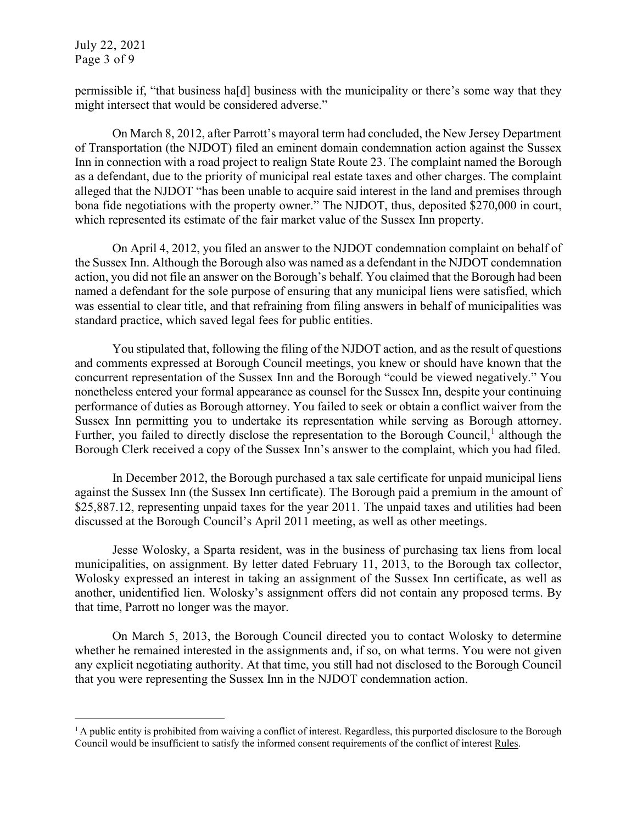July 22, 2021 Page 3 of 9

permissible if, "that business ha[d] business with the municipality or there's some way that they might intersect that would be considered adverse."

On March 8, 2012, after Parrott's mayoral term had concluded, the New Jersey Department of Transportation (the NJDOT) filed an eminent domain condemnation action against the Sussex Inn in connection with a road project to realign State Route 23. The complaint named the Borough as a defendant, due to the priority of municipal real estate taxes and other charges. The complaint alleged that the NJDOT "has been unable to acquire said interest in the land and premises through bona fide negotiations with the property owner." The NJDOT, thus, deposited \$270,000 in court, which represented its estimate of the fair market value of the Sussex Inn property.

On April 4, 2012, you filed an answer to the NJDOT condemnation complaint on behalf of the Sussex Inn. Although the Borough also was named as a defendant in the NJDOT condemnation action, you did not file an answer on the Borough's behalf. You claimed that the Borough had been named a defendant for the sole purpose of ensuring that any municipal liens were satisfied, which was essential to clear title, and that refraining from filing answers in behalf of municipalities was standard practice, which saved legal fees for public entities.

You stipulated that, following the filing of the NJDOT action, and as the result of questions and comments expressed at Borough Council meetings, you knew or should have known that the concurrent representation of the Sussex Inn and the Borough "could be viewed negatively." You nonetheless entered your formal appearance as counsel for the Sussex Inn, despite your continuing performance of duties as Borough attorney. You failed to seek or obtain a conflict waiver from the Sussex Inn permitting you to undertake its representation while serving as Borough attorney. Further, you failed to directly disclose the representation to the Borough Council,<sup>[1](#page-2-0)</sup> although the Borough Clerk received a copy of the Sussex Inn's answer to the complaint, which you had filed.

In December 2012, the Borough purchased a tax sale certificate for unpaid municipal liens against the Sussex Inn (the Sussex Inn certificate). The Borough paid a premium in the amount of \$25,887.12, representing unpaid taxes for the year 2011. The unpaid taxes and utilities had been discussed at the Borough Council's April 2011 meeting, as well as other meetings.

Jesse Wolosky, a Sparta resident, was in the business of purchasing tax liens from local municipalities, on assignment. By letter dated February 11, 2013, to the Borough tax collector, Wolosky expressed an interest in taking an assignment of the Sussex Inn certificate, as well as another, unidentified lien. Wolosky's assignment offers did not contain any proposed terms. By that time, Parrott no longer was the mayor.

On March 5, 2013, the Borough Council directed you to contact Wolosky to determine whether he remained interested in the assignments and, if so, on what terms. You were not given any explicit negotiating authority. At that time, you still had not disclosed to the Borough Council that you were representing the Sussex Inn in the NJDOT condemnation action.

<span id="page-2-0"></span><sup>&</sup>lt;sup>1</sup> A public entity is prohibited from waiving a conflict of interest. Regardless, this purported disclosure to the Borough Council would be insufficient to satisfy the informed consent requirements of the conflict of interest Rules.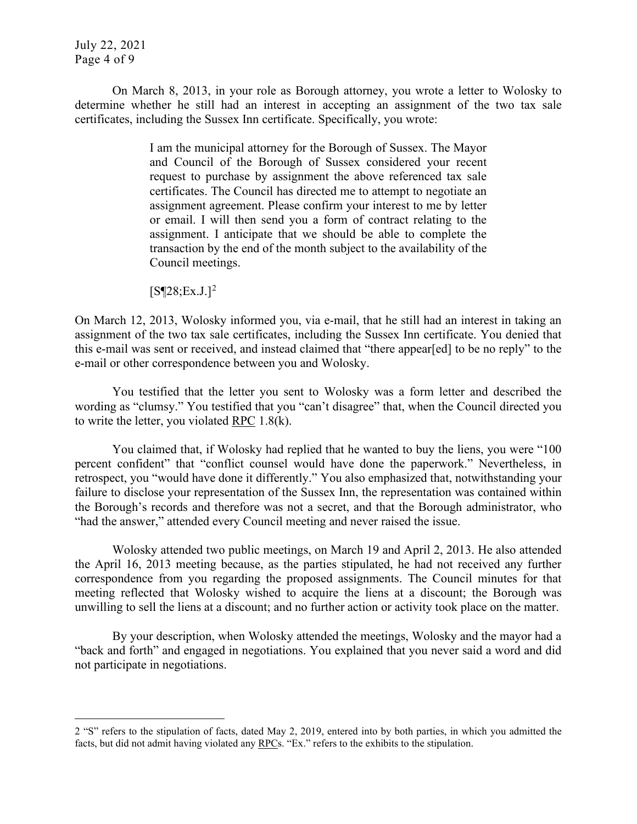July 22, 2021 Page 4 of 9

On March 8, 2013, in your role as Borough attorney, you wrote a letter to Wolosky to determine whether he still had an interest in accepting an assignment of the two tax sale certificates, including the Sussex Inn certificate. Specifically, you wrote:

> I am the municipal attorney for the Borough of Sussex. The Mayor and Council of the Borough of Sussex considered your recent request to purchase by assignment the above referenced tax sale certificates. The Council has directed me to attempt to negotiate an assignment agreement. Please confirm your interest to me by letter or email. I will then send you a form of contract relating to the assignment. I anticipate that we should be able to complete the transaction by the end of the month subject to the availability of the Council meetings.

 $[S\P 28; Ex.J.]^2$  $[S\P 28; Ex.J.]^2$  $[S\P 28; Ex.J.]^2$ 

On March 12, 2013, Wolosky informed you, via e-mail, that he still had an interest in taking an assignment of the two tax sale certificates, including the Sussex Inn certificate. You denied that this e-mail was sent or received, and instead claimed that "there appear[ed] to be no reply" to the e-mail or other correspondence between you and Wolosky.

You testified that the letter you sent to Wolosky was a form letter and described the wording as "clumsy." You testified that you "can't disagree" that, when the Council directed you to write the letter, you violated RPC 1.8(k).

You claimed that, if Wolosky had replied that he wanted to buy the liens, you were "100 percent confident" that "conflict counsel would have done the paperwork." Nevertheless, in retrospect, you "would have done it differently." You also emphasized that, notwithstanding your failure to disclose your representation of the Sussex Inn, the representation was contained within the Borough's records and therefore was not a secret, and that the Borough administrator, who "had the answer," attended every Council meeting and never raised the issue.

Wolosky attended two public meetings, on March 19 and April 2, 2013. He also attended the April 16, 2013 meeting because, as the parties stipulated, he had not received any further correspondence from you regarding the proposed assignments. The Council minutes for that meeting reflected that Wolosky wished to acquire the liens at a discount; the Borough was unwilling to sell the liens at a discount; and no further action or activity took place on the matter.

By your description, when Wolosky attended the meetings, Wolosky and the mayor had a "back and forth" and engaged in negotiations. You explained that you never said a word and did not participate in negotiations.

<span id="page-3-0"></span><sup>2</sup> "S" refers to the stipulation of facts, dated May 2, 2019, entered into by both parties, in which you admitted the facts, but did not admit having violated any RPCs. "Ex." refers to the exhibits to the stipulation.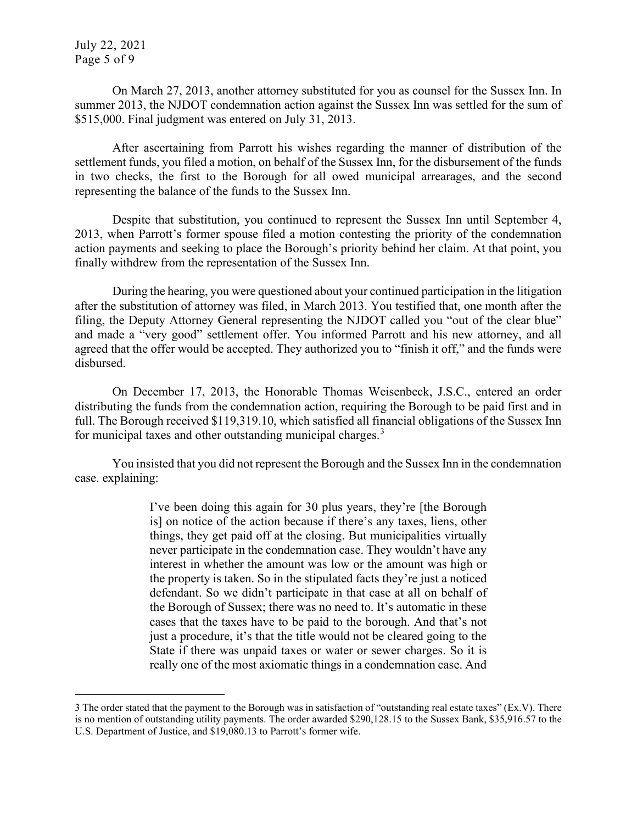On March 27, 2013, another attorney substituted for you as counsel for the Sussex Inn. In summer 2013, the NJDOT condemnation action against the Sussex Inn was settled for the sum of \$515,000. Final judgment was entered on July 31, 2013.

After ascertaining from Parrott his wishes regarding the manner of distribution of the settlement funds, you filed a motion, on behalf of the Sussex Inn, for the disbursement of the funds in two checks, the first to the Borough for all owed municipal arrearages, and the second representing the balance of the funds to the Sussex Inn.

Despite that substitution, you continued to represent the Sussex Inn until September 4, 2013, when Parrott's former spouse filed a motion contesting the priority of the condemnation action payments and seeking to place the Borough's priority behind her claim. At that point, you finally withdrew from the representation of the Sussex Inn.

During the hearing, you were questioned about your continued participation in the litigation after the substitution of attorney was filed, in March 2013. You testified that, one month after the filing, the Deputy Attorney General representing the NJDOT called you "out of the clear blue" and made a "very good" settlement offer. You informed Parrott and his new attorney, and all agreed that the offer would be accepted. They authorized you to "finish it off," and the funds were disbursed.

On December 17, 2013, the Honorable Thomas Weisenbeck, J.S.C., entered an order distributing the funds from the condemnation action, requiring the Borough to be paid first and in full. The Borough received \$119,319.10, which satisfied all financial obligations of the Sussex Inn for municipal taxes and other outstanding municipal charges.<sup>[3](#page-4-0)</sup>

You insisted that you did not represent the Borough and the Sussex Inn in the condemnation case. explaining:

> I've been doing this again for 30 plus years, they're [the Borough is] on notice of the action because if there's any taxes, liens, other things, they get paid off at the closing. But municipalities virtually never participate in the condemnation case. They wouldn't have any interest in whether the amount was low or the amount was high or the property is taken. So in the stipulated facts they're just a noticed defendant. So we didn't participate in that case at all on behalf of the Borough of Sussex; there was no need to. It's automatic in these cases that the taxes have to be paid to the borough. And that's not just a procedure, it's that the title would not be cleared going to the State if there was unpaid taxes or water or sewer charges. So it is really one of the most axiomatic things in a condemnation case. And

<span id="page-4-0"></span><sup>3</sup> The order stated that the payment to the Borough was in satisfaction of "outstanding real estate taxes" (Ex.V). There is no mention of outstanding utility payments. The order awarded \$290,128.15 to the Sussex Bank, \$35,916.57 to the U.S. Department of Justice, and \$19,080.13 to Parrott's former wife.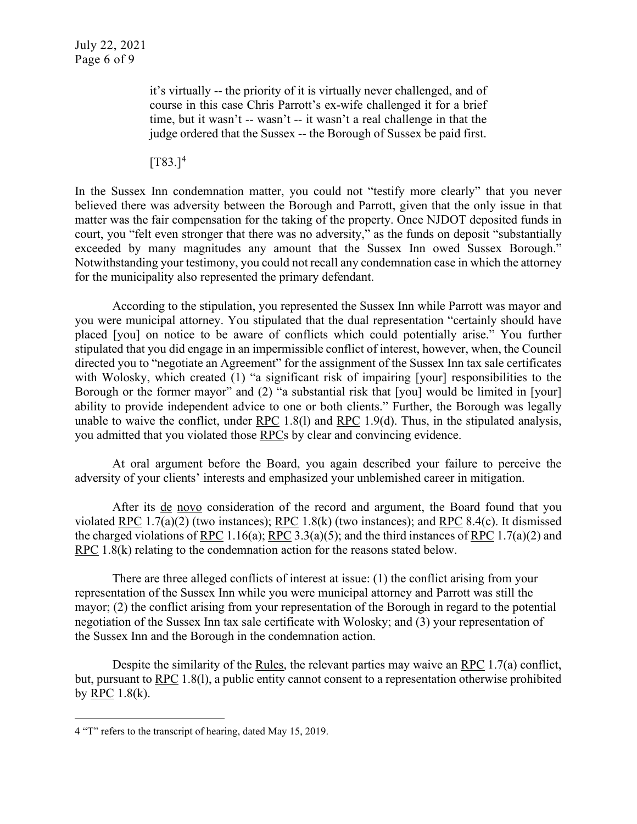it's virtually -- the priority of it is virtually never challenged, and of course in this case Chris Parrott's ex-wife challenged it for a brief time, but it wasn't -- wasn't -- it wasn't a real challenge in that the judge ordered that the Sussex -- the Borough of Sussex be paid first.

 $[T83.]^{4}$  $[T83.]^{4}$  $[T83.]^{4}$ 

In the Sussex Inn condemnation matter, you could not "testify more clearly" that you never believed there was adversity between the Borough and Parrott, given that the only issue in that matter was the fair compensation for the taking of the property. Once NJDOT deposited funds in court, you "felt even stronger that there was no adversity," as the funds on deposit "substantially exceeded by many magnitudes any amount that the Sussex Inn owed Sussex Borough." Notwithstanding your testimony, you could not recall any condemnation case in which the attorney for the municipality also represented the primary defendant.

According to the stipulation, you represented the Sussex Inn while Parrott was mayor and you were municipal attorney. You stipulated that the dual representation "certainly should have placed [you] on notice to be aware of conflicts which could potentially arise." You further stipulated that you did engage in an impermissible conflict of interest, however, when, the Council directed you to "negotiate an Agreement" for the assignment of the Sussex Inn tax sale certificates with Wolosky, which created (1) "a significant risk of impairing [your] responsibilities to the Borough or the former mayor" and (2) "a substantial risk that [you] would be limited in [your] ability to provide independent advice to one or both clients." Further, the Borough was legally unable to waive the conflict, under RPC 1.8(l) and RPC 1.9(d). Thus, in the stipulated analysis, you admitted that you violated those RPCs by clear and convincing evidence.

At oral argument before the Board, you again described your failure to perceive the adversity of your clients' interests and emphasized your unblemished career in mitigation.

After its de novo consideration of the record and argument, the Board found that you violated RPC 1.7(a)(2) (two instances); RPC 1.8(k) (two instances); and RPC 8.4(c). It dismissed the charged violations of RPC 1.16(a); RPC 3.3(a)(5); and the third instances of RPC 1.7(a)(2) and RPC 1.8(k) relating to the condemnation action for the reasons stated below.

There are three alleged conflicts of interest at issue: (1) the conflict arising from your representation of the Sussex Inn while you were municipal attorney and Parrott was still the mayor; (2) the conflict arising from your representation of the Borough in regard to the potential negotiation of the Sussex Inn tax sale certificate with Wolosky; and (3) your representation of the Sussex Inn and the Borough in the condemnation action.

Despite the similarity of the Rules, the relevant parties may waive an RPC 1.7(a) conflict, but, pursuant to RPC 1.8(l), a public entity cannot consent to a representation otherwise prohibited by RPC  $1.8(k)$ .

<span id="page-5-0"></span><sup>4</sup> "T" refers to the transcript of hearing, dated May 15, 2019.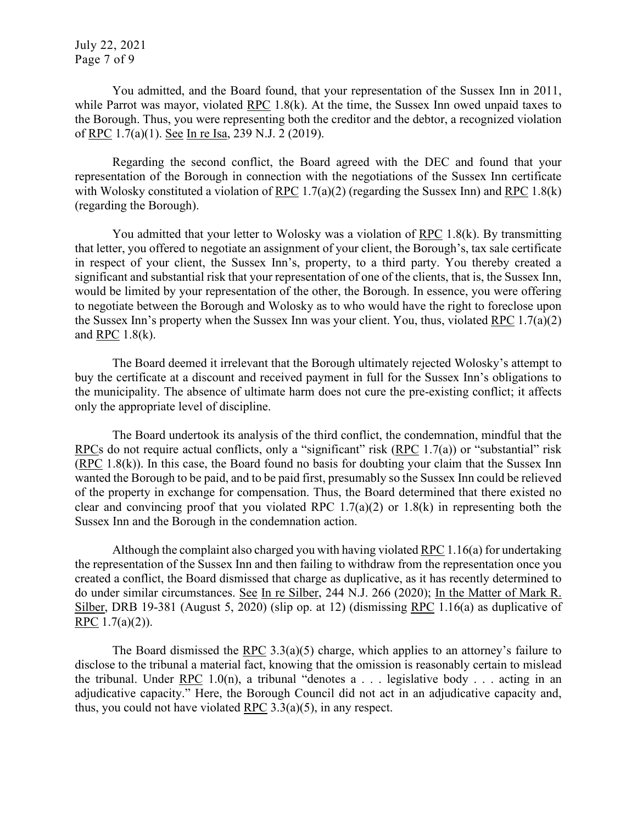July 22, 2021 Page 7 of 9

You admitted, and the Board found, that your representation of the Sussex Inn in 2011, while Parrot was mayor, violated RPC 1.8(k). At the time, the Sussex Inn owed unpaid taxes to the Borough. Thus, you were representing both the creditor and the debtor, a recognized violation of RPC 1.7(a)(1). See In re Isa, 239 N.J. 2 (2019).

Regarding the second conflict, the Board agreed with the DEC and found that your representation of the Borough in connection with the negotiations of the Sussex Inn certificate with Wolosky constituted a violation of RPC 1.7(a)(2) (regarding the Sussex Inn) and RPC 1.8(k) (regarding the Borough).

You admitted that your letter to Wolosky was a violation of RPC 1.8(k). By transmitting that letter, you offered to negotiate an assignment of your client, the Borough's, tax sale certificate in respect of your client, the Sussex Inn's, property, to a third party. You thereby created a significant and substantial risk that your representation of one of the clients, that is, the Sussex Inn, would be limited by your representation of the other, the Borough. In essence, you were offering to negotiate between the Borough and Wolosky as to who would have the right to foreclose upon the Sussex Inn's property when the Sussex Inn was your client. You, thus, violated RPC 1.7(a)(2) and RPC 1.8(k).

The Board deemed it irrelevant that the Borough ultimately rejected Wolosky's attempt to buy the certificate at a discount and received payment in full for the Sussex Inn's obligations to the municipality. The absence of ultimate harm does not cure the pre-existing conflict; it affects only the appropriate level of discipline.

The Board undertook its analysis of the third conflict, the condemnation, mindful that the RPCs do not require actual conflicts, only a "significant" risk  $(RPC 1.7(a))$  or "substantial" risk (RPC 1.8(k)). In this case, the Board found no basis for doubting your claim that the Sussex Inn wanted the Borough to be paid, and to be paid first, presumably so the Sussex Inn could be relieved of the property in exchange for compensation. Thus, the Board determined that there existed no clear and convincing proof that you violated RPC  $1.7(a)(2)$  or  $1.8(k)$  in representing both the Sussex Inn and the Borough in the condemnation action.

Although the complaint also charged you with having violated RPC 1.16(a) for undertaking the representation of the Sussex Inn and then failing to withdraw from the representation once you created a conflict, the Board dismissed that charge as duplicative, as it has recently determined to do under similar circumstances. See In re Silber, 244 N.J. 266 (2020); In the Matter of Mark R. Silber, DRB 19-381 (August 5, 2020) (slip op. at 12) (dismissing RPC 1.16(a) as duplicative of RPC  $1.7(a)(2)$ ).

The Board dismissed the RPC 3.3(a)(5) charge, which applies to an attorney's failure to disclose to the tribunal a material fact, knowing that the omission is reasonably certain to mislead the tribunal. Under RPC 1.0(n), a tribunal "denotes  $a \dots$  legislative body  $\dots$  acting in an adjudicative capacity." Here, the Borough Council did not act in an adjudicative capacity and, thus, you could not have violated RPC 3.3(a)(5), in any respect.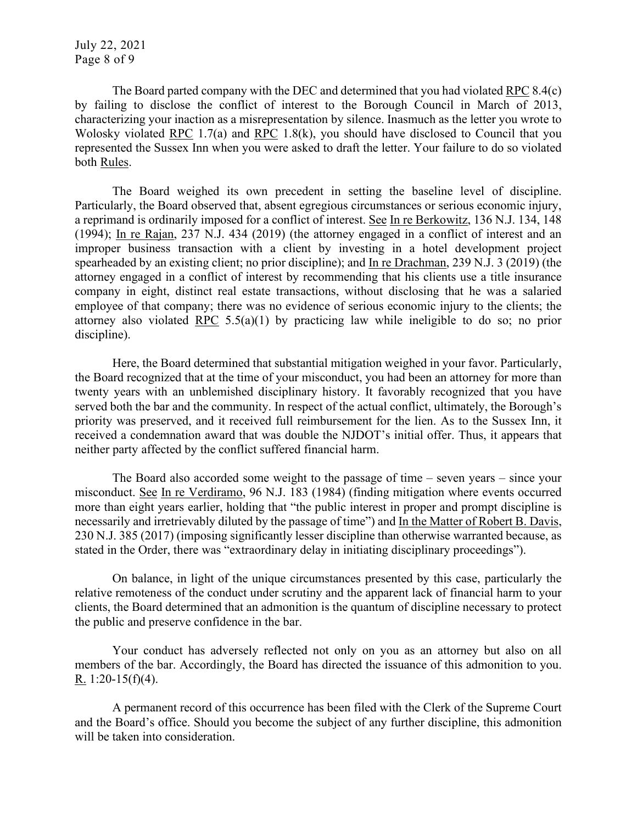July 22, 2021 Page 8 of 9

The Board parted company with the DEC and determined that you had violated RPC 8.4(c) by failing to disclose the conflict of interest to the Borough Council in March of 2013, characterizing your inaction as a misrepresentation by silence. Inasmuch as the letter you wrote to Wolosky violated RPC 1.7(a) and RPC 1.8(k), you should have disclosed to Council that you represented the Sussex Inn when you were asked to draft the letter. Your failure to do so violated both Rules.

The Board weighed its own precedent in setting the baseline level of discipline. Particularly, the Board observed that, absent egregious circumstances or serious economic injury, a reprimand is ordinarily imposed for a conflict of interest. See In re Berkowitz, 136 N.J. 134, 148 (1994); In re Rajan, 237 N.J. 434 (2019) (the attorney engaged in a conflict of interest and an improper business transaction with a client by investing in a hotel development project spearheaded by an existing client; no prior discipline); and In re Drachman, 239 N.J. 3 (2019) (the attorney engaged in a conflict of interest by recommending that his clients use a title insurance company in eight, distinct real estate transactions, without disclosing that he was a salaried employee of that company; there was no evidence of serious economic injury to the clients; the attorney also violated RPC 5.5(a)(1) by practicing law while ineligible to do so; no prior discipline).

Here, the Board determined that substantial mitigation weighed in your favor. Particularly, the Board recognized that at the time of your misconduct, you had been an attorney for more than twenty years with an unblemished disciplinary history. It favorably recognized that you have served both the bar and the community. In respect of the actual conflict, ultimately, the Borough's priority was preserved, and it received full reimbursement for the lien. As to the Sussex Inn, it received a condemnation award that was double the NJDOT's initial offer. Thus, it appears that neither party affected by the conflict suffered financial harm.

The Board also accorded some weight to the passage of time – seven years – since your misconduct. See In re Verdiramo, 96 N.J. 183 (1984) (finding mitigation where events occurred more than eight years earlier, holding that "the public interest in proper and prompt discipline is necessarily and irretrievably diluted by the passage of time") and In the Matter of Robert B. Davis, 230 N.J. 385 (2017) (imposing significantly lesser discipline than otherwise warranted because, as stated in the Order, there was "extraordinary delay in initiating disciplinary proceedings").

On balance, in light of the unique circumstances presented by this case, particularly the relative remoteness of the conduct under scrutiny and the apparent lack of financial harm to your clients, the Board determined that an admonition is the quantum of discipline necessary to protect the public and preserve confidence in the bar.

Your conduct has adversely reflected not only on you as an attorney but also on all members of the bar. Accordingly, the Board has directed the issuance of this admonition to you. R. 1:20-15(f)(4).

A permanent record of this occurrence has been filed with the Clerk of the Supreme Court and the Board's office. Should you become the subject of any further discipline, this admonition will be taken into consideration.